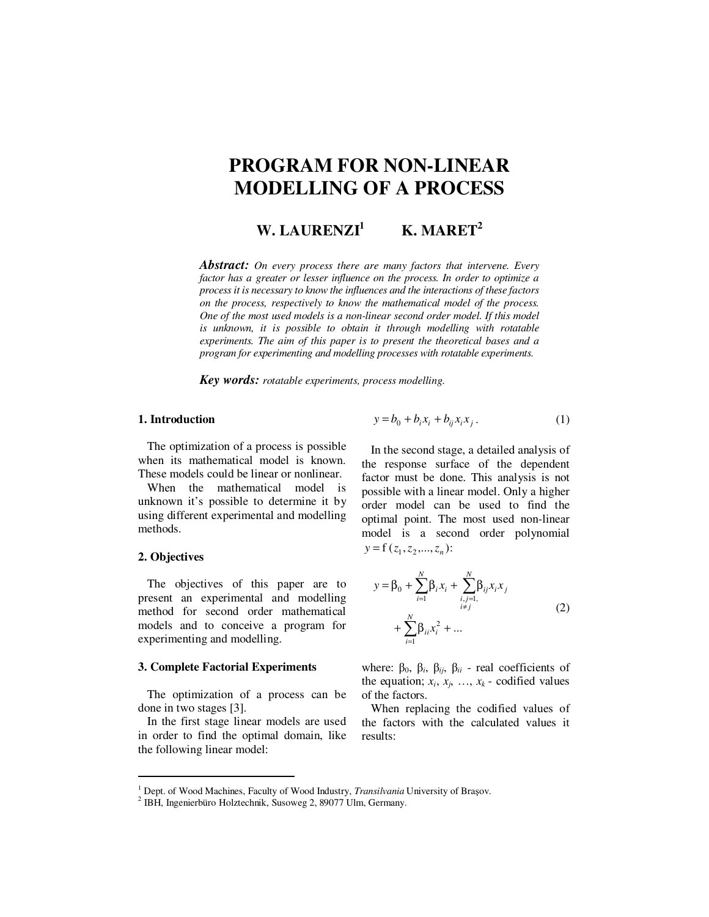# **PROGRAM FOR NON-LINEAR MODELLING OF A PROCESS**

**W. LAURENZI<sup>1</sup> K. MARET<sup>2</sup>**

*Abstract: On every process there are many factors that intervene. Every factor has a greater or lesser influence on the process. In order to optimize a process it is necessary to know the influences and the interactions of these factors on the process, respectively to know the mathematical model of the process. One of the most used models is a non-linear second order model. If this model is unknown, it is possible to obtain it through modelling with rotatable experiments. The aim of this paper is to present the theoretical bases and a program for experimenting and modelling processes with rotatable experiments.* 

*Key words: rotatable experiments, process modelling.*

### **1. Introduction**

The optimization of a process is possible when its mathematical model is known. These models could be linear or nonlinear.

When the mathematical model is unknown it's possible to determine it by using different experimental and modelling methods.

# **2. Objectives**

 $\overline{a}$ 

The objectives of this paper are to present an experimental and modelling method for second order mathematical models and to conceive a program for experimenting and modelling.

#### **3. Complete Factorial Experiments**

The optimization of a process can be done in two stages [3].

In the first stage linear models are used in order to find the optimal domain, like the following linear model:

$$
y = b_0 + b_i x_i + b_{ij} x_i x_j.
$$
 (1)

In the second stage, a detailed analysis of the response surface of the dependent factor must be done. This analysis is not possible with a linear model. Only a higher order model can be used to find the optimal point. The most used non-linear model is a second order polynomial  $y = f(z_1, z_2, \dots, z_n)$ :

$$
y = \beta_0 + \sum_{i=1}^{N} \beta_i x_i + \sum_{\substack{i,j=1,\\i \neq j}}^{N} \beta_{ij} x_i x_j + \sum_{i=1}^{N} \beta_{ii} x_i^2 + \dots
$$
 (2)

where:  $β_0$ ,  $β_i$ ,  $β_{ij}$ ,  $β_{ii}$  - real coefficients of the equation;  $x_i$ ,  $x_j$ , ...,  $x_k$  - codified values of the factors.

When replacing the codified values of the factors with the calculated values it results:

<sup>&</sup>lt;sup>1</sup> Dept. of Wood Machines, Faculty of Wood Industry, *Transilvania* University of Brașov.

<sup>2</sup> IBH, Ingenierbüro Holztechnik, Susoweg 2, 89077 Ulm, Germany.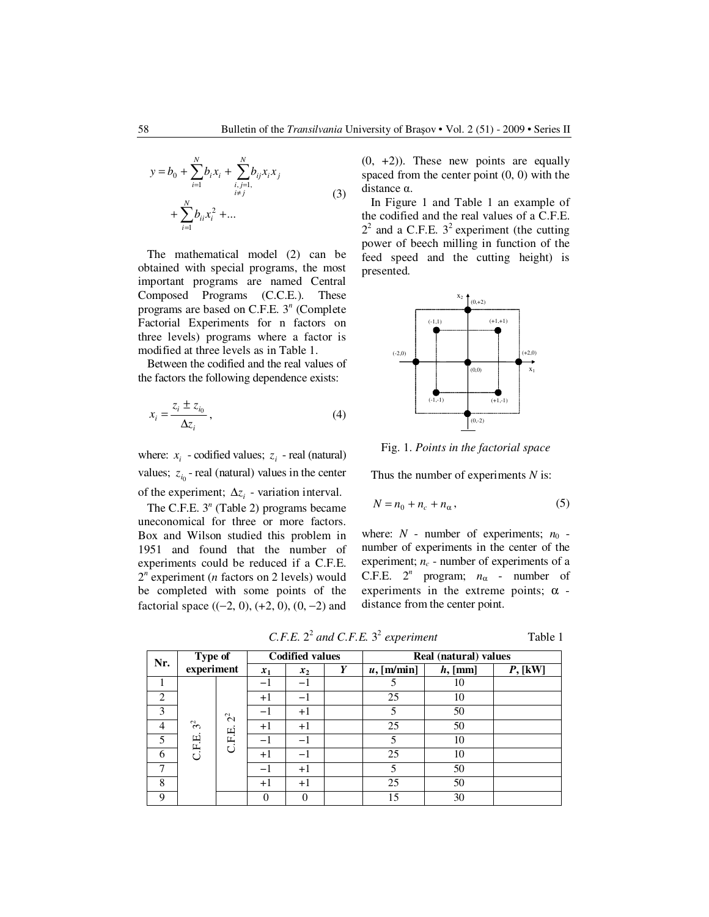$$
y = b_0 + \sum_{i=1}^{N} b_i x_i + \sum_{\substack{i,j=1, \\ i \neq j}}^{N} b_{ij} x_i x_j + \sum_{i=1}^{N} b_{ij} x_i^2 + \dots
$$
 (3)

The mathematical model (2) can be obtained with special programs, the most important programs are named Central Composed Programs (C.C.E.). These programs are based on C.F.E. 3<sup>n</sup> (Complete Factorial Experiments for n factors on three levels) programs where a factor is modified at three levels as in Table 1.

Between the codified and the real values of the factors the following dependence exists:

$$
x_i = \frac{z_i \pm z_{i_0}}{\Delta z_i},\tag{4}
$$

where:  $x_i$  - codified values;  $z_i$  - real (natural) values;  $z_{i_0}$  - real (natural) values in the center of the experiment;  $\Delta z_i$  - variation interval.

The C.F.E.  $3<sup>n</sup>$  (Table 2) programs became uneconomical for three or more factors. Box and Wilson studied this problem in 1951 and found that the number of experiments could be reduced if a C.F.E.  $2^n$  experiment (*n* factors on 2 levels) would be completed with some points of the factorial space  $((-2, 0), (+2, 0), (0, -2)$  and

 $(0, +2)$ ). These new points are equally spaced from the center point (0, 0) with the distance α.

In Figure 1 and Table 1 an example of the codified and the real values of a C.F.E.  $2<sup>2</sup>$  and a C.F.E.  $3<sup>2</sup>$  experiment (the cutting power of beech milling in function of the feed speed and the cutting height) is presented.



Fig. 1. *Points in the factorial space*

Thus the number of experiments *N* is:

$$
N = n_0 + n_c + n_\alpha, \tag{5}
$$

where:  $N$  - number of experiments;  $n_0$  number of experiments in the center of the experiment;  $n_c$  - number of experiments of a C.F.E.  $2^n$  program;  $n_\alpha$  - number of experiments in the extreme points;  $\alpha$  distance from the center point.

*C.F.E.*  $2^2$  *and C.F.E.*  $3^2$  *experiment* Table 1

|   | Type of<br>Nr.<br>experiment |               |       | <b>Codified values</b> |   | Real (natural) values |            |           |  |  |
|---|------------------------------|---------------|-------|------------------------|---|-----------------------|------------|-----------|--|--|
|   |                              |               | $x_1$ | $x_2$                  | Y | $u$ , [m/min]         | $h$ , [mm] | $P,$ [kW] |  |  |
|   |                              |               | $-1$  | -1                     |   |                       | 10         |           |  |  |
| 2 |                              |               | $+1$  | -1                     |   | 25                    | 10         |           |  |  |
| 3 |                              | $\tilde{c}^2$ | -1    | $+1$                   |   |                       | 50         |           |  |  |
| 4 | 3 <sup>2</sup>               |               | $+1$  | $+1$                   |   | 25                    | 50         |           |  |  |
| 5 | C.F.E.                       | C.F.E.        | $-1$  | -1                     |   |                       | 10         |           |  |  |
| 6 |                              |               | $+1$  | -1                     |   | 25                    | 10         |           |  |  |
| 7 |                              |               | $-1$  | $+1$                   |   | 5                     | 50         |           |  |  |
| 8 |                              |               | $+1$  | $+1$                   |   | 25                    | 50         |           |  |  |
| 9 |                              |               |       |                        |   | 15                    | 30         |           |  |  |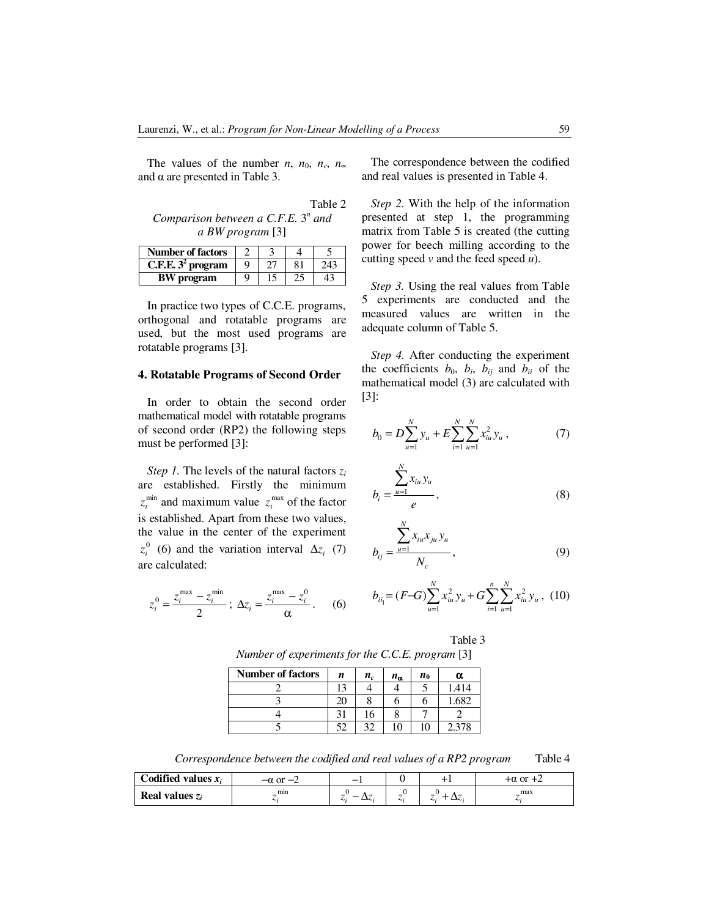The values of the number *n*,  $n_0$ ,  $n_c$ ,  $n_\infty$ and  $\alpha$  are presented in Table 3.

Table 2 Comparison between a C.F.E.  $3^n$  and *a BW program* [3]

| <b>Number of factors</b>      |   |    |     |
|-------------------------------|---|----|-----|
| C.F.E. 3 <sup>2</sup> program | Ω | 81 | 243 |
| <b>BW</b> program             | Ω |    |     |

In practice two types of C.C.E. programs, orthogonal and rotatable programs are used, but the most used programs are rotatable programs [3].

#### **4. Rotatable Programs of Second Order**

In order to obtain the second order mathematical model with rotatable programs of second order (RP2) the following steps must be performed [3]:

*Step 1.* The levels of the natural factors *z<sup>i</sup>* are established. Firstly the minimum  $z_i^{\text{min}}$  and maximum value  $z_i^{\text{max}}$  of the factor is established. Apart from these two values, the value in the center of the experiment  $z_i^0$  (6) and the variation interval  $\Delta z_i$  (7) are calculated:

$$
z_i^0 = \frac{z_i^{\max} - z_i^{\min}}{2} ; \ \Delta z_i = \frac{z_i^{\max} - z_i^0}{\alpha} . \tag{6}
$$

The correspondence between the codified and real values is presented in Table 4.

*Step 2.* With the help of the information presented at step 1, the programming matrix from Table 5 is created (the cutting power for beech milling according to the cutting speed *v* and the feed speed *u*).

*Step 3.* Using the real values from Table 5 experiments are conducted and the measured values are written in the adequate column of Table 5.

*Step 4.* After conducting the experiment the coefficients  $b_0$ ,  $b_i$ ,  $b_{ij}$  and  $b_{ii}$  of the mathematical model (3) are calculated with [3]:

$$
b_0 = D \sum_{u=1}^{N} y_u + E \sum_{i=1}^{N} \sum_{u=1}^{N} x_{iu}^2 y_u , \qquad (7)
$$

$$
b_i = \frac{\sum_{u=1}^{N} x_{iu} y_u}{e},
$$
 (8)

$$
b_{ij} = \frac{\sum_{u=1}^{N} x_{iu} x_{ju} y_u}{N_c},
$$
\n(9)

$$
b_{ii} = (F-G)\sum_{u=1}^{N} x_{iu}^{2} y_{u} + G\sum_{i=1}^{n} \sum_{u=1}^{N} x_{iu}^{2} y_{u}, (10)
$$

Table 3 *Number of experiments for the C.C.E. program* [3]

| Number of factors $\begin{vmatrix} n & n_c & n_a & n_0 \end{vmatrix}$ |  |  |  |
|-----------------------------------------------------------------------|--|--|--|

| <b>NUMBER OF LACTORS</b> | n  | $n_c$ | $n_{\alpha}$ | $n_0$ | α     |
|--------------------------|----|-------|--------------|-------|-------|
|                          | 13 |       |              |       | 1.414 |
|                          | 20 |       |              |       | 1.682 |
|                          |    | 16    |              |       |       |
|                          | 52 | 30    | 10           | 10    | 2.378 |

*Correspondence between the codified and real values of a RP2 program* Table 4

| Codified values $x_i$ | $-\alpha$ or $-\alpha$ |    | $+\alpha$ or $+\alpha$ |
|-----------------------|------------------------|----|------------------------|
| Real values $z_i$     | mın                    | ∼. | <br>max                |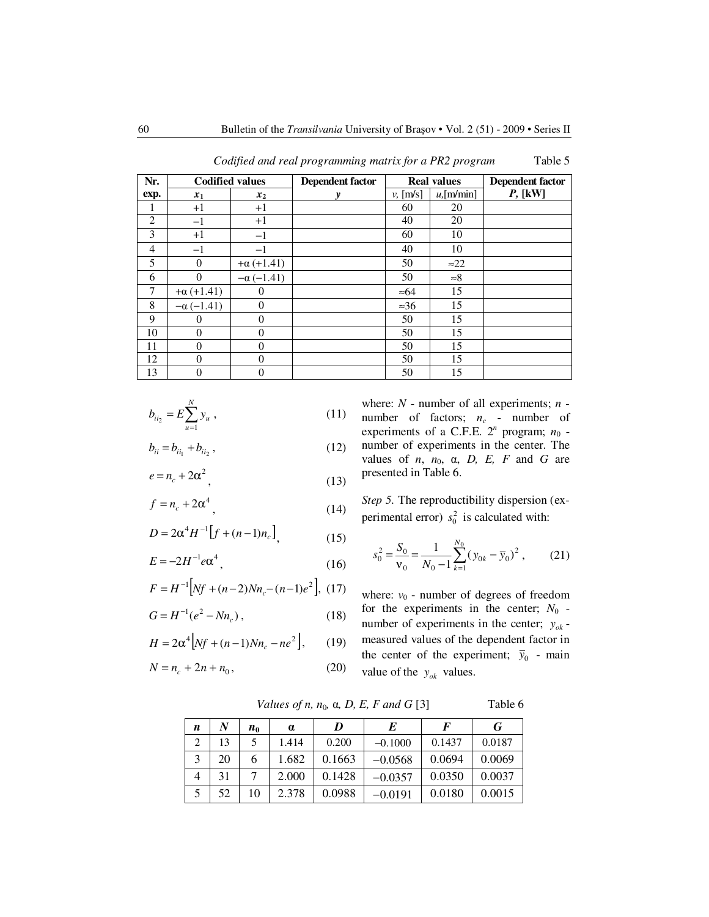| Nr.            | <b>Codified values</b> |                   | <b>Dependent factor</b> |                   | <b>Real values</b> | <b>Dependent factor</b> |
|----------------|------------------------|-------------------|-------------------------|-------------------|--------------------|-------------------------|
| exp.           | $x_1$                  | $x_2$             | y                       | $v, \text{[m/s]}$ | $u$ , [m/min]      | $P,$ [kW]               |
| 1              | $+1$                   | $+1$              |                         | 60                | 20                 |                         |
| 2              | $^{-1}$                | $+1$              |                         | 40                | 20                 |                         |
| 3              | $+1$                   | $-1$              |                         | 60                | 10                 |                         |
| $\overline{4}$ | $-1$                   | $-1$              |                         | 40                | 10                 |                         |
| 5              | $\Omega$               | $+\alpha (+1.41)$ |                         | 50                | $\approx 22$       |                         |
| 6              | $\Omega$               | $-\alpha$ (-1.41) |                         | 50                | $\approx 8$        |                         |
| $\overline{7}$ | $+\alpha (+1.41)$      | $\theta$          |                         | $\approx 64$      | 15                 |                         |
| 8              | $-\alpha$ (-1.41)      | $\theta$          |                         | $\approx 36$      | 15                 |                         |
| 9              | $\Omega$               | $\theta$          |                         | 50                | 15                 |                         |
| 10             | $\Omega$               | $\Omega$          |                         | 50                | 15                 |                         |
| 11             | $\theta$               | $\Omega$          |                         | 50                | 15                 |                         |
| 12             | $\theta$               | $\theta$          |                         | 50                | 15                 |                         |
| 13             | $\overline{0}$         | 0                 |                         | 50                | 15                 |                         |

 *Codified and real programming matrix for a PR2 program* Table 5

$$
b_{ii_2} = E \sum_{u=1}^{N} y_u , \qquad (11)
$$

$$
b_{ii} = b_{ii_1} + b_{ii_2}, \t\t(12)
$$

$$
e = n_c + 2\alpha^2 \tag{13}
$$

$$
f = n_c + 2\alpha^4 \tag{14}
$$

$$
D = 2\alpha^4 H^{-1} \left[ f + (n-1)n_c \right],
$$
 (15)

$$
E = -2H^{-1}e\alpha^4,\tag{16}
$$

$$
F = H^{-1}\Big[Nf + (n-2)Nn_c - (n-1)e^2\Big], \ (17)
$$

$$
G = H^{-1}(e^2 - Nn_c), \qquad (18)
$$

$$
H = 2\alpha^4 \Big[ Nf + (n-1)Nn_c - ne^2 \Big], \qquad (19)
$$

$$
N = n_c + 2n + n_0, \t\t(20)
$$

where: *N* - number of all experiments; *n* number of factors;  $n_c$  - number of experiments of a C.F.E.  $2^n$  program;  $n_0$  number of experiments in the center. The values of *n*,  $n_0$ ,  $\alpha$ , *D*, *E*, *F* and *G* are presented in Table 6.

*Step 5.* The reproductibility dispersion (experimental error)  $s_0^2$  is calculated with:

$$
s_0^2 = \frac{S_0}{\mathbf{v}_0} = \frac{1}{N_0 - 1} \sum_{k=1}^{N_0} (y_{0k} - \bar{y}_0)^2, \qquad (21)
$$

where:  $v_0$  - number of degrees of freedom for the experiments in the center;  $N_0$  number of experiments in the center;  $y_{ok}$  measured values of the dependent factor in the center of the experiment;  $\bar{y}_0$  - main value of the  $y_{ok}$  values.

*Values of n, n*<sub>0</sub>*, α, D, E, F and G* [3] Table 6

 $n \mid N \mid n_0 \mid \alpha \mid D \mid E \mid F \mid G$ 2 | 13 | 5 | 1.414 | 0.200 | −0.1000 | 0.1437 | 0.0187 3 | 20 | 6 | 1.682 | 0.1663 | −0.0568 | 0.0694 | 0.0069  $4 \mid 31 \mid 7 \mid 2.000 \mid 0.1428 \mid -0.0357 \mid 0.0350 \mid 0.0037$ 5 | 52 | 10 | 2.378 | 0.0988 | −0.0191 | 0.0180 | 0.0015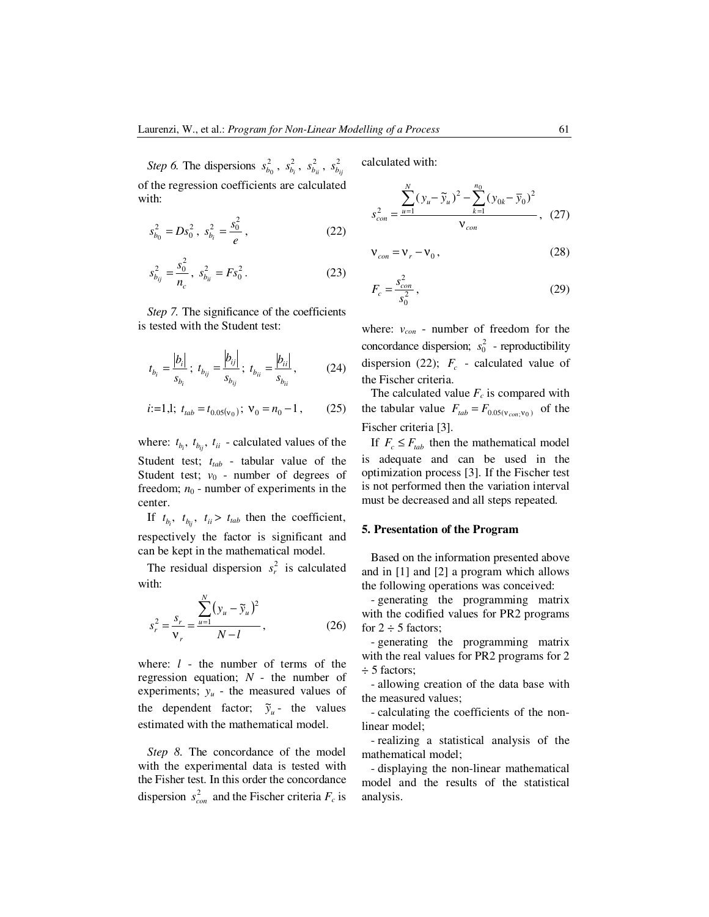*Step 6.* The dispersions  $s_{b_0}^2$ ,  $s_{b_i}^2$  $s_{b_i}^2$ ,  $s_{b_{ii}}^2$ ,  $s_{b_{ij}}^2$ of the regression coefficients are calculated with:

$$
s_{b_0}^2 = Ds_0^2 \ , \ s_{b_i}^2 = \frac{s_0^2}{e} \ , \tag{22}
$$

$$
s_{b_{ij}}^2 = \frac{s_0^2}{n_c}, \ s_{b_{ii}}^2 = Fs_0^2. \tag{23}
$$

*Step 7.* The significance of the coefficients is tested with the Student test:

$$
t_{b_i} = \frac{|b_i|}{s_{b_i}}; \ t_{b_{ij}} = \frac{|b_{ij}|}{s_{b_{ij}}}; \ t_{b_{ii}} = \frac{|b_{ii}|}{s_{b_{ii}}}, \qquad (24)
$$

$$
i:=1,1;
$$
  $t_{tab} = t_{0.05(v_0)};$   $v_0 = n_0 - 1,$  (25)

where:  $t_{b_i}$ ,  $t_{b_{ij}}$ ,  $t_{ii}$  - calculated values of the Student test; *ttab* - tabular value of the Student test;  $v_0$  - number of degrees of freedom;  $n_0$  - number of experiments in the center.

If  $t_{b_i}$ ,  $t_{b_{ij}}$ ,  $t_{ii} > t_{tab}$  then the coefficient, respectively the factor is significant and can be kept in the mathematical model.

The residual dispersion  $s_r^2$  is calculated with:

$$
s_r^2 = \frac{\sum_{u=1}^{N} (y_u - \tilde{y}_u)^2}{V_r} , \qquad (26)
$$

where: *l* - the number of terms of the regression equation; *N* - the number of experiments; *yu* - the measured values of the dependent factor;  $\tilde{y}_u$  - the values estimated with the mathematical model.

*Step 8.* The concordance of the model with the experimental data is tested with the Fisher test. In this order the concordance dispersion  $s_{con}^2$  and the Fischer criteria  $F_c$  is calculated with:

$$
s_{con}^{2} = \frac{\sum_{u=1}^{N} (y_u - \widetilde{y}_u)^2 - \sum_{k=1}^{n_0} (y_{0k} - \overline{y}_0)^2}{\mathbf{v}_{con}}, \quad (27)
$$

$$
\mathbf{v}_{con} = \mathbf{v}_r - \mathbf{v}_0, \tag{28}
$$

$$
F_c = \frac{s_{con}^2}{s_0^2},\tag{29}
$$

where: *vcon* - number of freedom for the concordance dispersion;  $s_0^2$  - reproductibility dispersion (22);  $F_c$  - calculated value of the Fischer criteria.

The calculated value  $F_c$  is compared with the tabular value  $F_{tab} = F_{0.05(v_{con};v_0)}$  of the Fischer criteria [3].

If  $F_c \leq F_{tab}$  then the mathematical model is adequate and can be used in the optimization process [3]. If the Fischer test is not performed then the variation interval must be decreased and all steps repeated.

#### **5. Presentation of the Program**

Based on the information presented above and in [1] and [2] a program which allows the following operations was conceived:

- generating the programming matrix with the codified values for PR2 programs for  $2 \div 5$  factors;

- generating the programming matrix with the real values for PR2 programs for 2 ÷ 5 factors;

- allowing creation of the data base with the measured values;

- calculating the coefficients of the nonlinear model;

- realizing a statistical analysis of the mathematical model;

- displaying the non-linear mathematical model and the results of the statistical analysis.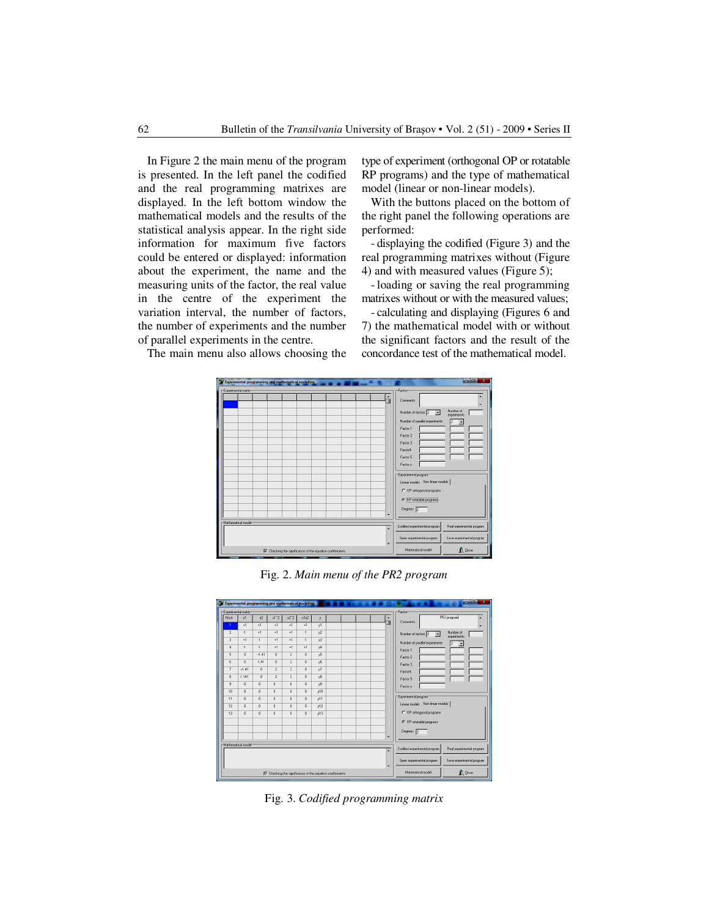In Figure 2 the main menu of the program is presented. In the left panel the codified and the real programming matrixes are displayed. In the left bottom window the mathematical models and the results of the statistical analysis appear. In the right side information for maximum five factors could be entered or displayed: information about the experiment, the name and the measuring units of the factor, the real value in the centre of the experiment the variation interval, the number of factors, the number of experiments and the number of parallel experiments in the centre.

type of experiment (orthogonal OP or rotatable RP programs) and the type of mathematical model (linear or non-linear models).

With the buttons placed on the bottom of the right panel the following operations are performed:

- displaying the codified (Figure 3) and the real programming matrixes without (Figure 4) and with measured values (Figure 5);

- loading or saving the real programming matrixes without or with the measured values;

- calculating and displaying (Figures 6 and 7) the mathematical model with or without the significant factors and the result of the concordance test of the mathematical model.



Fig. 2. *Main menu of the PR2 program* 

|                         |                       | <b>Experimental programming and mathematical modelling</b> |                |                |                |                | أقاده<br>$\overline{\mathbf{x}}$                                                                        |
|-------------------------|-----------------------|------------------------------------------------------------|----------------|----------------|----------------|----------------|---------------------------------------------------------------------------------------------------------|
| -Experimental matrix    |                       |                                                            |                |                |                |                | Factor                                                                                                  |
| Nrort                   | x1                    | x2                                                         | $x1^2$         | $x2^2$         | x1x2           | y.             | PR2 program<br>$\blacktriangle$<br><b>Comments</b>                                                      |
| 1                       | $+1$                  | $+1$                                                       | $+1$           | $+1$           | $+1$           | v1             | 7<br>۰                                                                                                  |
| $\overline{\mathbf{c}}$ | $\Delta$              | $+1$                                                       | $+1$           | $+1$           | $-1$           | v <sup>2</sup> | Number of<br>Number of factors 2<br>$\overline{\mathbf{r}}$<br>experiments                              |
| 3                       | $+1$                  | $\overline{1}$                                             | $+1$           | $+1$           | $-1$           | v3             | Number of parallel experiments<br>2<br>۰                                                                |
| 4                       | $-1$                  | $-1$                                                       | $+1$           | $+1$           | $+1$           | y4             | Factor 1                                                                                                |
| 5                       | $\theta$              | $+1.41$                                                    | $\theta$       | $\overline{2}$ | $\mathbf{0}$   | $\sqrt{5}$     | Factor 2                                                                                                |
| 6                       | $\theta$              | $-1.41$                                                    | $\theta$       | $\overline{2}$ | $\mathbf{0}$   | y6             | Factor 3                                                                                                |
| 7                       | $+1.41$               | $\theta$                                                   | $\overline{2}$ | $\sqrt{2}$     | $\bf{0}$       | y7             | Factor4                                                                                                 |
| 8                       | $-1.141$              | $\theta$                                                   | $\overline{2}$ | $\overline{2}$ | $\bf{0}$       | y8             | Factor 5                                                                                                |
| 9                       | $\theta$              | $\theta$                                                   | $\theta$       | $\bf{0}$       | $\bf{0}$       | y9             | Factor v                                                                                                |
| 10                      | $\theta$              | $\theta$                                                   | $\theta$       | $\bf{0}$       | $\bf{0}$       | v10            |                                                                                                         |
| 11                      | $\theta$              | $\theta$                                                   | $\bf{0}$       | $\bf{0}$       | $\bf{0}$       | y11            | Experimental program                                                                                    |
| 12                      | $\theta$              | $\theta$                                                   | $\theta$       | $\bf{0}$       | $\bf{0}$       | v12            | Linear models Non-linear models                                                                         |
| 13                      | $\theta$              | $\theta$                                                   | $\overline{0}$ | $\bf{0}$       | $\overline{0}$ | v13            | C DP othogonal programs                                                                                 |
|                         |                       |                                                            |                |                |                |                | ← RP rotatable programs                                                                                 |
|                         |                       |                                                            |                |                |                |                | Degrees 2                                                                                               |
|                         |                       |                                                            |                |                |                |                | $\overline{\phantom{a}}$                                                                                |
|                         | r-Mathematical model: |                                                            |                |                |                |                |                                                                                                         |
|                         |                       |                                                            |                |                |                |                | Codified experimental program<br>Real experimental program<br>٠                                         |
|                         |                       |                                                            |                |                |                |                | Open experimental program<br>Save experimental program<br>$\cdot$                                       |
|                         |                       |                                                            |                |                |                |                | Matematical model<br><b>n</b> Close<br>$\nabla$ Checking the significance of the equation coeffercients |

Fig. 3. *Codified programming matrix* 

The main menu also allows choosing the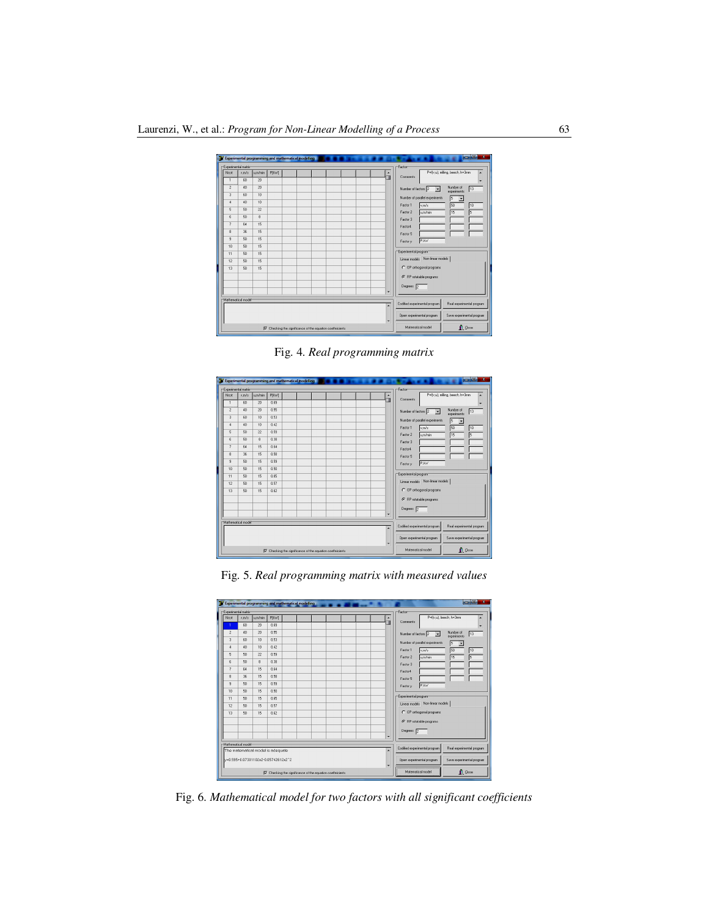

Fig. 4. *Real programming matrix* 



Fig. 5. *Real programming matrix with measured values* 

|                     |                                     |                  | Experimental programming and mathematical modelling              |  |  |  |  |                                                        |  | ichidi.<br>$\overline{\mathbf{x}}$                                      |
|---------------------|-------------------------------------|------------------|------------------------------------------------------------------|--|--|--|--|--------------------------------------------------------|--|-------------------------------------------------------------------------|
| Experimental matrix |                                     |                  |                                                                  |  |  |  |  |                                                        |  | Factor                                                                  |
| Nrcst               | vm/s                                | um/min           | <b>P[kW]</b>                                                     |  |  |  |  |                                                        |  | P=f(v.u), beech, h=3mm<br>Comments                                      |
|                     | 60                                  | 20               | 0.69                                                             |  |  |  |  |                                                        |  | ٠                                                                       |
| $\overline{c}$      | 40                                  | 20               | 0.55                                                             |  |  |  |  |                                                        |  | Number of<br>13<br>Number of factors 2<br>$\overline{z}$<br>experiments |
| 3                   | 60                                  | 10               | 0.53                                                             |  |  |  |  |                                                        |  | Number of parallel experiments<br>15                                    |
| $\overline{a}$      | 40                                  | 10               | 0.42                                                             |  |  |  |  |                                                        |  | 50<br>Factor 1<br>10<br>v.m/s                                           |
| 5                   | 50                                  | 22               | 0.59                                                             |  |  |  |  |                                                        |  | 15<br>Factor 2<br>um/min<br>5                                           |
| 6                   | 50                                  | $\boldsymbol{8}$ | 0.38                                                             |  |  |  |  |                                                        |  | Factor 3                                                                |
| $\overline{z}$      | 64                                  | 15               | 0.64                                                             |  |  |  |  |                                                        |  | Factor4                                                                 |
| 8                   | 36                                  | 15               | 0.58                                                             |  |  |  |  |                                                        |  | Factor 5                                                                |
| $\mathbf{Q}$        | 50                                  | 15               | 0.59                                                             |  |  |  |  |                                                        |  | P.KW<br>Factor v                                                        |
| 10 <sub>10</sub>    | 50                                  | 15               | 0.50                                                             |  |  |  |  |                                                        |  |                                                                         |
| 11                  | $50^{\circ}$                        | 15               | 0.65                                                             |  |  |  |  |                                                        |  | Experimental program                                                    |
| 12 <sup>2</sup>     | 50                                  | 15               | 0.57                                                             |  |  |  |  |                                                        |  | Linear models Non-linear models                                         |
| 13                  | 50                                  | 15               | 0.62                                                             |  |  |  |  |                                                        |  | C DP othogonal programs                                                 |
|                     |                                     |                  |                                                                  |  |  |  |  |                                                        |  | C RP rotatable programs                                                 |
|                     |                                     |                  |                                                                  |  |  |  |  |                                                        |  | Degrees 2                                                               |
|                     |                                     |                  |                                                                  |  |  |  |  |                                                        |  |                                                                         |
| Mathematical model  |                                     |                  |                                                                  |  |  |  |  |                                                        |  | Codified experimental program                                           |
|                     |                                     |                  | The matematical model is adequate                                |  |  |  |  |                                                        |  | Real experimental program                                               |
|                     | v=0.595+0.07301102x2-0.05742612x2^2 |                  |                                                                  |  |  |  |  | Open experimental program<br>Save experimental program |  |                                                                         |
|                     |                                     |                  | $\nabla$ Checking the significance of the equation coeffeicients |  |  |  |  |                                                        |  | <b>n</b> Close<br>Matematical model                                     |

Fig. 6. *Mathematical model for two factors with all significant coefficients*